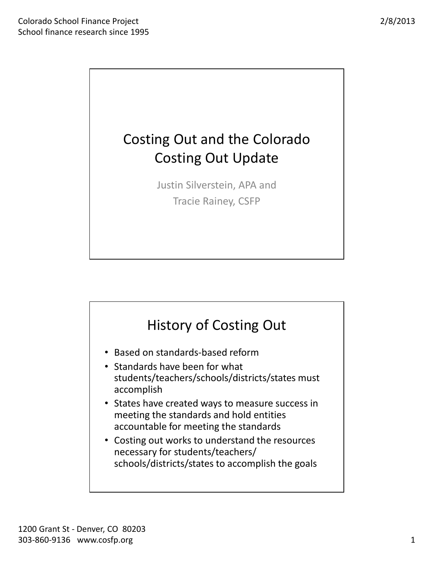

Justin Silverstein, APA and Tracie Rainey, CSFP

## History of Costing Out

- Based on standards-based reform
- Standards have been for what students/teachers/schools/districts/states must accomplish
- States have created ways to measure success in meeting the standards and hold entities accountable for meeting the standards
- Costing out works to understand the resources necessary for students/teachers/ schools/districts/states to accomplish the goals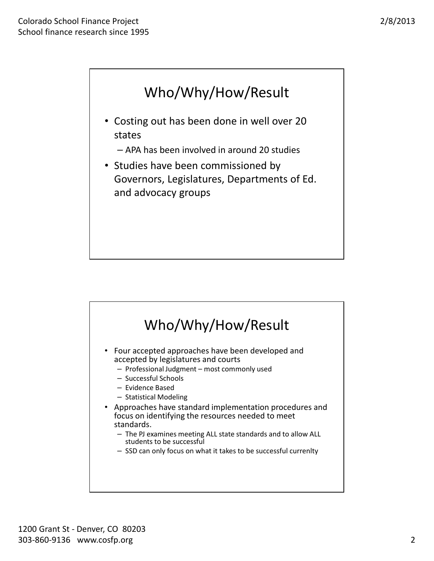

- APA has been involved in around 20 studies
- Studies have been commissioned by Governors, Legislatures, Departments of Ed. and advocacy groups

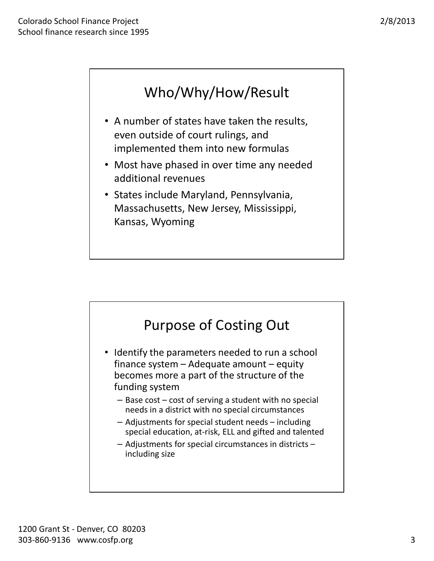

- A number of states have taken the results, even outside of court rulings, and implemented them into new formulas
- Most have phased in over time any needed additional revenues
- States include Maryland, Pennsylvania, Massachusetts, New Jersey, Mississippi, Kansas, Wyoming

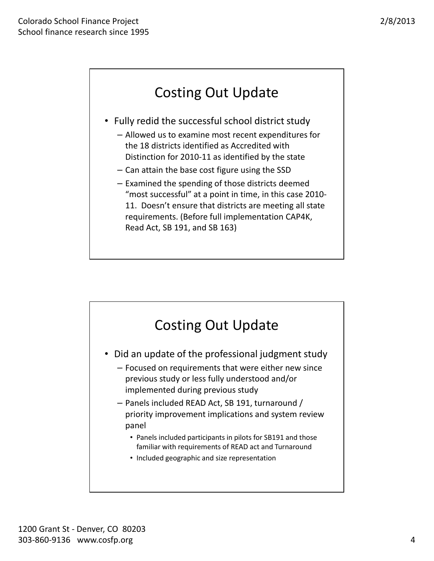## Costing Out Update

- Fully redid the successful school district study
	- Allowed us to examine most recent expenditures for the 18 districts identified as Accredited with Distinction for 2010-11 as identified by the state
	- Can attain the base cost figure using the SSD
	- Examined the spending of those districts deemed "most successful" at a point in time, in this case 2010- 11. Doesn't ensure that districts are meeting all state requirements. (Before full implementation CAP4K, Read Act, SB 191, and SB 163)

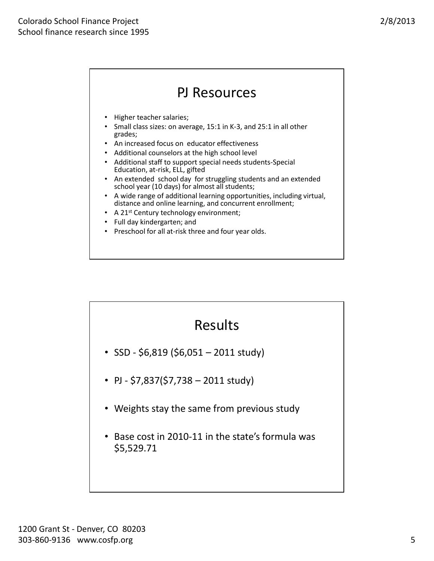